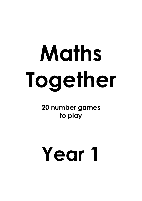# **Maths Together**

### **20 number games to play**

## **Year 1**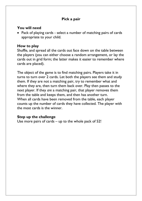#### **Pick a pair**

#### **You will need**

• Pack of playing cards - select a number of matching pairs of cards appropriate to your child.

#### **How to play**

Shuffle, and spread all the cards out face down on the table between the players (you can either choose a random arrangement, or lay the cards out in grid form; the latter makes it easier to remember where cards are placed).

The object of the game is to find matching pairs. Players take it in turns to turn over 2 cards. Let both the players see them and study them. If they are not a matching pair, try to remember what and where they are, then turn them back over. Play then passes to the next player. If they *are* a matching pair, that player removes them from the table and keeps them, and then has another turn. When all cards have been removed from the table, each player counts up the number of cards they have collected. The player with the most cards is the winner.

#### **Step up the challenge**

Use more pairs of cards – up to the whole pack of 52!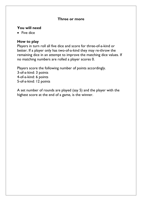#### **Three or more**

#### **You will need**

• Five dice

#### **How to play**

Players in turn roll all five dice and score for three-of-a-kind or better. If a player only has two-of-a-kind they may re-throw the remaining dice in an attempt to improve the matching dice values. If no matching numbers are rolled a player scores 0.

Players score the following number of points accordingly. 3-of-a-kind: 3 points 4-of-a-kind: 6 points 5-of-a-kind: 12 points

A set number of rounds are played (say 5) and the player with the highest score at the end of a game, is the winner.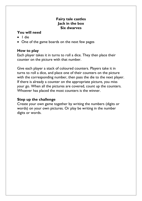#### **Fairy tale castles Jack in the box Six dwarves**

#### **You will need**

- I die
- One of the game boards on the next few pages

#### **How to play**

Each player takes it in turns to roll a dice. They then place their counter on the picture with that number.

Give each player a stack of coloured counters. Players take it in turns to roll a dice, and place one of their counters on the picture with the corresponding number, then pass the die to the next player. If there is already a counter on the appropriate picture, you miss your go. When all the pictures are covered, count up the counters. Whoever has placed the most counters is the winner.

#### **Step up the challenge**

Create your own game together by writing the numbers (digits or words) on your own pictures. Or play be writing in the number digits or words.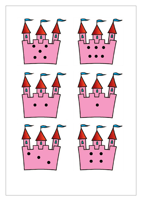









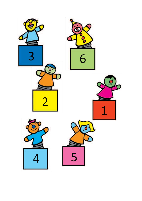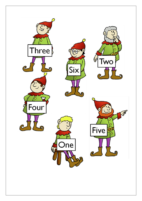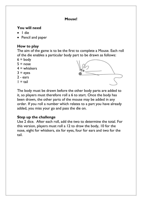#### **Mouse!**

#### **You will need**

- I die
- Pencil and paper

#### **How to play**

The aim of the game is to be the first to complete a Mouse. Each roll of the die enables a particular body part to be drawn as follows:

- $6 = body$
- $5 = n$ ose
- $4 =$  whiskers
- $3 = e$ yes
- 2 ears
- $1 = \text{tail}$



The body must be drawn before the other body parts are added to it, so players must therefore roll a 6 to start. Once the body has been drawn, the other parts of the mouse may be added in any order. If you roll a number which relates to a part you have already added, you miss your go and pass the die on.

#### **Step up the challenge**

Use 2 dice. After each roll, add the two to determine the total. For this version, players must roll a 12 to draw the body, 10 for the nose, eight for whiskers, six for eyes, four for ears and two for the tail.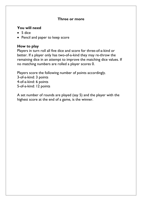#### **Three or more**

#### **You will need**

- $\bullet$  5 dice
- Pencil and paper to keep score

#### **How to play**

Players in turn roll all five dice and score for three-of-a-kind or better. If a player only has two-of-a-kind they may re-throw the remaining dice in an attempt to improve the matching dice values. If no matching numbers are rolled a player scores 0.

Players score the following number of points accordingly.

3-of-a-kind: 3 points 4-of-a-kind: 6 points 5-of-a-kind: 12 points

A set number of rounds are played (say 5) and the player with the highest score at the end of a game, is the winner.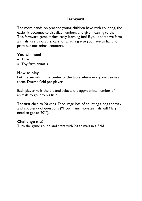#### **Farmyard**

The more hands-on practice young children have with counting, the easier it becomes to visualize numbers and give meaning to them. This farmyard game makes early learning fun! If you don't have farm animals, use dinosaurs, cars, or anything else you have to hand, or print out our animal counters.

#### **You will need**

- I die
- Toy farm animals

#### **How to play**

Put the animals in the center of the table where everyone can reach them. Draw a field per player.

Each player rolls the die and selects the appropriate number of animals to go into his field.

The first child to 20 wins. Encourage lots of counting along the way and ask plenty of questions ("How many more animals will Mary need to get to 20?").

#### **Challenge me!**

Turn the game round and start with 20 animals in a field.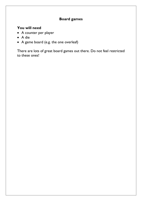#### **Board games**

#### **You will need**

- A counter per player
- A die
- A game board (e.g. the one overleaf)

There are lots of great board games out there. Do not feel restricted to these ones!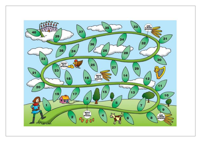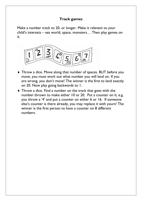#### **Track games**

Make a number track to 20, or longer. Make it relevant to your child's interests – sea world, space, monsters… Then play games on it.



- Throw a dice. Move along that number of spaces. BUT before you move, you must work out what number you will land on. If you are wrong, you don't move! The winner is the first to land exactly on 20. Now play going backwards to 1.
- Throw a dice. Find a number on the track that goes with the number thrown to make either 10 or 20. Put a counter on it, e.g. you throw a '4' and put a counter on either 6 or 16. If someone else's counter is there already, you may replace it with yours! The winner is the first person to have a counter on 8 different numbers.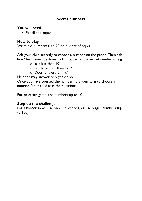#### **Secret numbers**

#### **You will need**

• Pencil and paper

#### **How to play**

Write the numbers 0 to 20 on a sheet of paper.

Ask your child secretly to choose a number on the paper. Then ask him / her some questions to find out what the secret number is, e.g.

- $\circ$  Is it less than 10?
- $\circ$  Is it between 10 and 20?
- o Does it have a 5 in it?

He / she may answer only yes or no.

Once you have guessed the number, it is your turn to choose a number. Your child asks the questions.

For an easier game, use numbers up to 10.

#### **Step up the challenge**

For a harder game, use only 5 questions, or use bigger numbers (up to 100).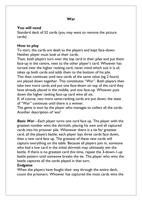#### **War**

#### **You will need**

Standard deck of 52 cards (you may want to remove the picture cards)

#### **How to play**

To start, the cards are dealt to the players and kept face-down. Neither player must look at their cards.

Then, both players turn over the top card in their piles and put them face-up in the centre, next to the other player's card. Whoever has turned over the higher ranking card, never mind which suit it is of, takes up both cards and adds them to the bottom of his pile. This then continues until two cards of the same value (eg 2 fours) are placed down together. This constitutes "War". Both players then take two more cards and put one face-down on top of the card they have already placed in the middle, and one face-up. Whoever puts down the higher ranking face-up card wins all six.

If, of course, two more same-ranking cards are put down, the state of "War" continues until there is a winner.

The game is won by the player who manages to collect all the cards. Another description of 'war'

*Basic War*—Each player turns one card face up. The player with the greatest number wins the skirmish, placing his own and all captured cards into his prisoner pile. Whenever there is a tie for greatest card, all the players battle: each player lays three cards face down, then a new card face up. The greatest of these new cards will capture everything on the table. Because all players join in, someone who had a low card in the initial skirmish may ultimately win the battle. If there is no greatest card this time, repeat the 3-down-1-up battle pattern until someone breaks the tie. The player who wins the battle captures all the cards played in that turn.

#### *Endgame*

When the players have fought their way through the entire deck, count the prisoners. Whoever has captured the most cards wins the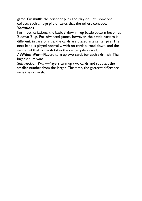game. Or shuffle the prisoner piles and play on until someone collects such a huge pile of cards that the others concede.

#### *Variations*

For most variations, the basic 3-down-1-up battle pattern becomes 2-down-2-up. For advanced games, however, the battle pattern is different: in case of a tie, the cards are placed in a center pile. The next hand is played normally, with no cards turned down, and the winner of that skirmish takes the center pile as well.

*Addition War***—**Players turn up two cards for each skirmish. The highest sum wins.

*Subtraction War***—**Players turn up two cards and subtract the smaller number from the larger. This time, the greatest difference wins the skirmish.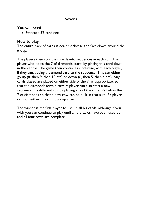#### **Sevens**

#### **You will need**

• Standard 52-card deck

#### **How to play**

The entire pack of cards is dealt clockwise and face-down around the group.

The players then sort their cards into sequences in each suit. The player who holds the 7 of diamonds starts by placing this card down in the centre. The game then continues clockwise, with each player, if they can, adding a diamond card to the sequence. This can either go up (8, then 9, then 10 etc) or down (6, then 5, then 4 etc). Any cards played are placed on either side of the 7, as appropriate, so that the diamonds form a row. A player can also start a new sequence in a different suit by placing any of the other 7s below the 7 of diamonds so that a new row can be built in that suit. If a player can do neither, they simply skip a turn.

The winner is the first player to use up all his cards, although if you wish you can continue to play until all the cards have been used up and all four rows are complete.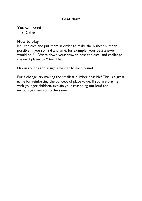#### **Beat that!**

#### **You will need**

 $\bullet$  2 dice

#### **How to play**

Roll the dice and put them in order to make the highest number possible. If you roll a 4 and an 6, for example, your best answer would be 64. Write down your answer, pass the dice, and challenge the next player to "Beat That!"

Play in rounds and assign a winner to each round.

For a change, try making the smallest number possible! This is a great game for reinforcing the concept of place value. If you are playing with younger children, explain your reasoning out loud and encourage them to do the same.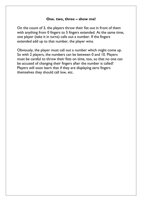#### **One. two, three – show me!**

On the count of 3, the players throw their fist out in front of them with anything from 0 fingers to 5 fingers extended. At the same time, one player (take it in turns) calls out a number. If the fingers extended add up to that number, the player wins.

Obviously, the player must call out a number which might come up. So with 2 players, the numbers can be between 0 and 10. Players must be careful to throw their fists on time, too, so that no one can be accused of changing their fingers after the number is called! Players will soon learn that if they are displaying zero fingers themselves they should call low, etc.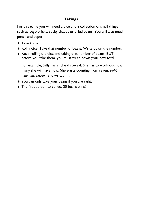#### **Takings**

For this game you will need a dice and a collection of small things such as Lego bricks, sticky shapes or dried beans. You will also need pencil and paper.

- ◆ Take turns.
- Roll a dice. Take that number of beans. Write down the number.
- $\triangle$  Keep rolling the dice and taking that number of beans. BUT, before you take them, you must write down your new total.

For example, Sally has 7. She throws 4. She has to work out how many she will have now. She starts counting from seven: *eight, nine, ten, eleven*. She writes 11.

- You can only take your beans if you are right.
- $\triangle$  The first person to collect 20 beans wins!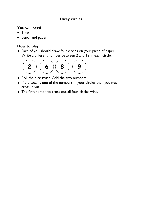#### **Dicey circles**

#### **You will need**

- I die
- pencil and paper

#### **How to play**

 Each of you should draw four circles on your piece of paper. Write a different number between 2 and 12 in each circle.



- ◆ Roll the dice twice. Add the two numbers.
- $\bullet$  If the total is one of the numbers in your circles then you may cross it out.
- The first person to cross out all four circles wins.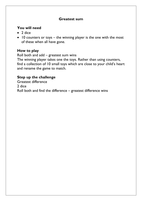#### **Greatest sum**

#### **You will need**

- $\bullet$  2 dice
- 10 counters or toys the winning player is the one with the most of these when all have gone.

#### **How to play**

Roll both and add – greatest sum wins

The winning player takes one the toys. Rather than using counters, find a collection of 10 small toys which are close to your child's heart and rename the game to match.

#### **Step up the challenge**

Greatest difference 2 dice Roll both and find the difference – greatest difference wins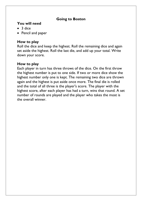#### **Going to Boston**

#### **You will need**

- 3 dice
- Pencil and paper

#### **How to play**

Roll the dice and keep the highest. Roll the remaining dice and again set aside the highest. Roll the last die, and add up your total. Write down your score.

#### **How to play**

Each player in turn has three throws of the dice. On the first throw the highest number is put to one side. If two or more dice show the highest number only one is kept. The remaining two dice are thrown again and the highest is put aside once more. The final die is rolled and the total of all three is the player's score. The player with the highest score, after each player has had a turn, wins that round. A set number of rounds are played and the player who takes the most is the overall winner.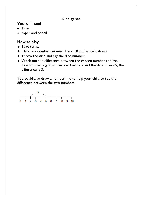#### **Dice game**

#### **You will need**

- I die
- paper and pencil

#### **How to play**

- ◆ Take turns.
- Choose a number between 1 and 10 and write it down.
- Throw the dice and say the dice number.
- Work out the difference between the chosen number and the dice number, e.g. if you wrote down a 2 and the dice shows 5, the difference is 3.

You could also draw a number line to help your child to see the difference between the two numbers.

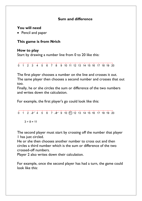#### **Sum and difference**

#### **You will need**

• Pencil and paper

#### **This game is from Nrich**

#### **How to play**

Start by drawing a number line from 0 to 20 like this:

 $1\ 2\ 3\ 4\ 5\ 6\ 7\ 8\ 9\ 10\ 11\ 12\ 13\ 14\ 15\ 16\ 17\ 18\ 19\ 20$ 

The first player chooses a number on the line and crosses it out.

The same player then chooses a second number and crosses that out too.

Finally, he or she circles the sum or difference of the two numbers and writes down the calculation.

For example, the first player's go could look like this:

 $1\ 2\ 3\ 4\ 5\ 6\ 7\ 8\ 9\ 10\ (1)$  12 13 14 15 16 17 18 19 20  $\dot{0}$ 

 $3 + 8 = 11$ 

The second player must start by crossing off the number that player 1 has just circled.

He or she then chooses another number to cross out and then circles a third number which is the sum or difference of the two crossed-off numbers.

Player 2 also writes down their calculation.

For example, once the second player has had a turn, the game could look like this: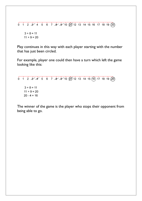$$
0 \quad 1 \quad 2 \quad 3 \quad 4 \quad 5 \quad 6 \quad 7 \quad 3 \quad 10 \quad 60 \quad 12 \quad 13 \quad 14 \quad 15 \quad 16 \quad 17 \quad 18 \quad 19 \quad 20
$$
\n
$$
3 + 8 = 11
$$
\n
$$
11 + 9 = 20
$$

Play continues in this way with each player starting with the number that has just been circled.

For example, player one could then have a turn which left the game looking like this:

The winner of the game is the player who stops their opponent from being able to go.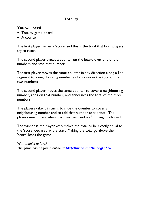#### **Totality**

#### **You will need**

- Totality game board
- A counter

The first player names a 'score' and this is the total that both players try to reach.

The second player places a counter on the board over one of the numbers and says that number.

The first player moves the same counter in any direction along a line segment to a neighbouring number and announces the total of the two numbers.

The second player moves the same counter to cover a neighbouring number, adds on that number, and announces the total of the three numbers.

The players take it in turns to slide the counter to cover a neighbouring number and to add that number to the total. The players must move when it is their turn and no 'jumping' is allowed.

The winner is the player who makes the total to be exactly equal to the 'score' declared at the start. Making the total go above the 'score' loses the game.

*With thanks to Nrich. The game can be found online at <http://nrich.maths.org/1216>*